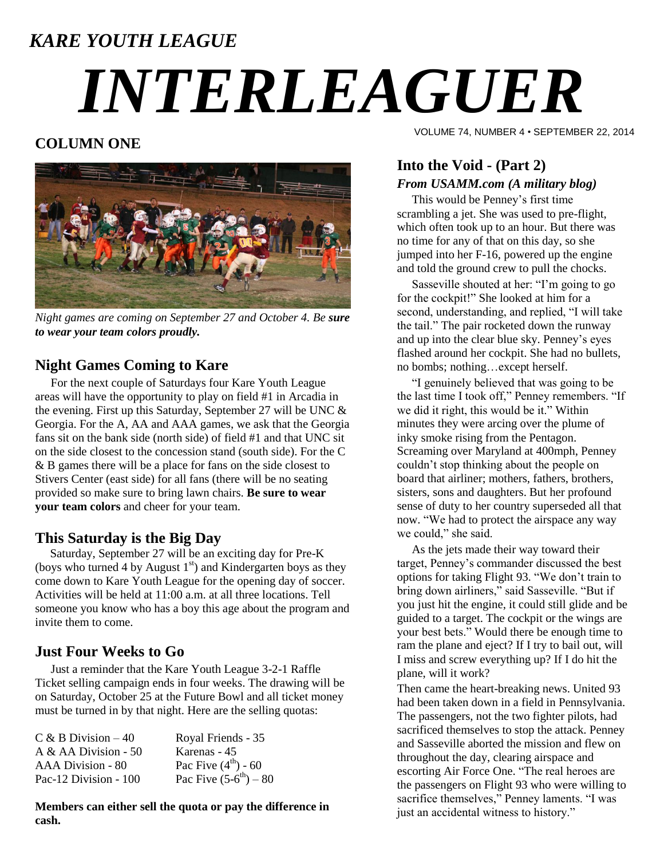# *KARE YOUTH LEAGUE INTERLEAGUER*

### **COLUMN ONE**



*Night games are coming on September 27 and October 4. Be sure to wear your team colors proudly.*

#### **Night Games Coming to Kare**

For the next couple of Saturdays four Kare Youth League areas will have the opportunity to play on field #1 in Arcadia in the evening. First up this Saturday, September 27 will be UNC & Georgia. For the A, AA and AAA games, we ask that the Georgia fans sit on the bank side (north side) of field #1 and that UNC sit on the side closest to the concession stand (south side). For the C & B games there will be a place for fans on the side closest to Stivers Center (east side) for all fans (there will be no seating provided so make sure to bring lawn chairs. **Be sure to wear your team colors** and cheer for your team.

#### **This Saturday is the Big Day**

 Saturday, September 27 will be an exciting day for Pre-K (boys who turned 4 by August  $1<sup>st</sup>$ ) and Kindergarten boys as they come down to Kare Youth League for the opening day of soccer. Activities will be held at 11:00 a.m. at all three locations. Tell someone you know who has a boy this age about the program and invite them to come.

#### **Just Four Weeks to Go**

Just a reminder that the Kare Youth League 3-2-1 Raffle Ticket selling campaign ends in four weeks. The drawing will be on Saturday, October 25 at the Future Bowl and all ticket money must be turned in by that night. Here are the selling quotas:

| $C & B$ Division $-40$ | Royal Friends - 35         |
|------------------------|----------------------------|
| A & AA Division - $50$ | Karenas - 45               |
| AAA Division - 80      | Pac Five $(4^{th}) - 60$   |
| Pac-12 Division - 100  | Pac Five $(5-6^{th}) - 80$ |

**Members can either sell the quota or pay the difference in cash.**

VOLUME 74, NUMBER 4 • SEPTEMBER 22, 2014

#### **Into the Void - (Part 2)** *From USAMM.com (A military blog)*

 This would be Penney's first time scrambling a jet. She was used to pre-flight, which often took up to an hour. But there was no time for any of that on this day, so she jumped into her F-16, powered up the engine and told the ground crew to pull the chocks.

 Sasseville shouted at her: "I'm going to go for the cockpit!" She looked at him for a second, understanding, and replied, "I will take the tail." The pair rocketed down the runway and up into the clear blue sky. Penney's eyes flashed around her cockpit. She had no bullets, no bombs; nothing…except herself.

 "I genuinely believed that was going to be the last time I took off," Penney remembers. "If we did it right, this would be it." Within minutes they were arcing over the plume of inky smoke rising from the Pentagon. Screaming over Maryland at 400mph, Penney couldn't stop thinking about the people on board that airliner; mothers, fathers, brothers, sisters, sons and daughters. But her profound sense of duty to her country superseded all that now. "We had to protect the airspace any way we could," she said.

 As the jets made their way toward their target, Penney's commander discussed the best options for taking Flight 93. "We don't train to bring down airliners," said Sasseville. "But if you just hit the engine, it could still glide and be guided to a target. The cockpit or the wings are your best bets." Would there be enough time to ram the plane and eject? If I try to bail out, will I miss and screw everything up? If I do hit the plane, will it work?

Then came the heart-breaking news. United 93 had been taken down in a field in Pennsylvania. The passengers, not the two fighter pilots, had sacrificed themselves to stop the attack. Penney and Sasseville aborted the mission and flew on throughout the day, clearing airspace and escorting Air Force One. "The real heroes are the passengers on Flight 93 who were willing to sacrifice themselves," Penney laments. "I was just an accidental witness to history."